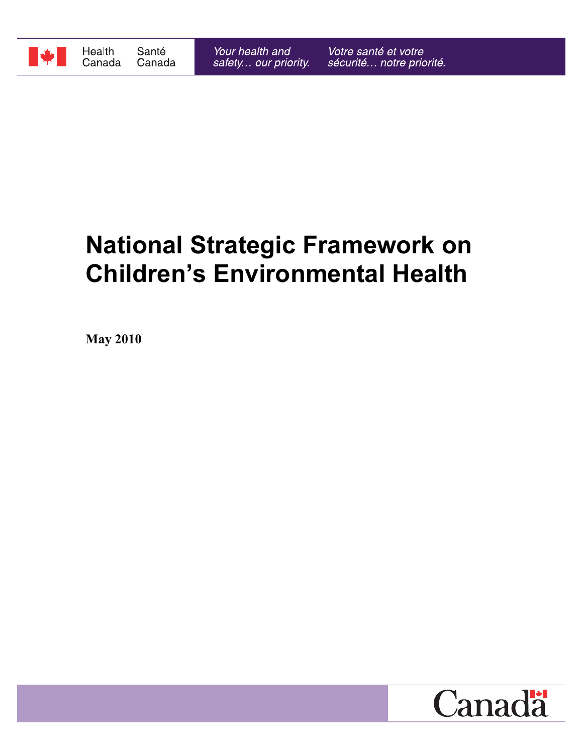

# **National Strategic Framework on Children's Environmental Health**

**May 2010**

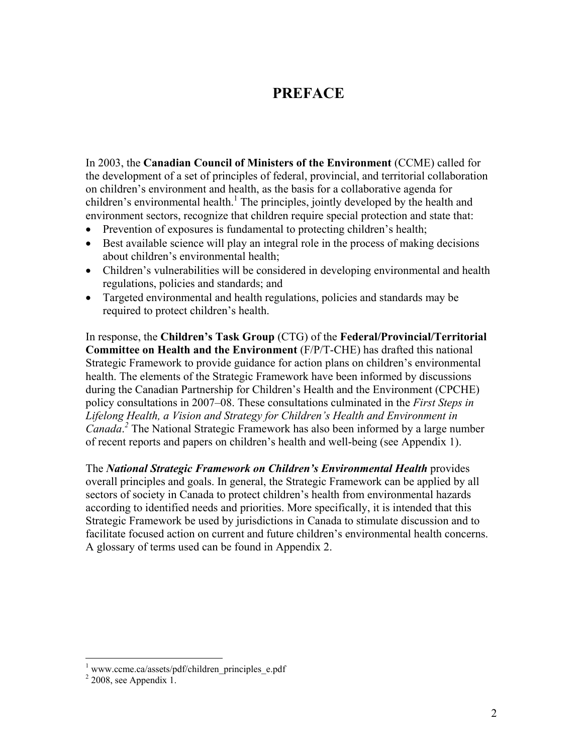# **PREFACE**

In 2003, the **Canadian Council of Ministers of the Environment** (CCME) called for the development of a set of principles of federal, provincial, and territorial collaboration on children's environment and health, as the basis for a collaborative agenda for children's environmental health.<sup>1</sup> The principles, jointly developed by the health and environment sectors, recognize that children require special protection and state that:

- Prevention of exposures is fundamental to protecting children's health;
- Best available science will play an integral role in the process of making decisions about children's environmental health;
- Children's vulnerabilities will be considered in developing environmental and health regulations, policies and standards; and
- Targeted environmental and health regulations, policies and standards may be required to protect children's health.

In response, the **Children's Task Group** (CTG) of the **Federal/Provincial/Territorial Committee on Health and the Environment** (F/P/T-CHE) has drafted this national Strategic Framework to provide guidance for action plans on children's environmental health. The elements of the Strategic Framework have been informed by discussions during the Canadian Partnership for Children's Health and the Environment (CPCHE) policy consultations in 2007–08. These consultations culminated in the *First Steps in Lifelong Health, a Vision and Strategy for Children's Health and Environment in Canada*. *2* The National Strategic Framework has also been informed by a large number of recent reports and papers on children's health and well-being (see Appendix 1).

The *National Strategic Framework on Children's Environmental Health* provides overall principles and goals. In general, the Strategic Framework can be applied by all sectors of society in Canada to protect children's health from environmental hazards according to identified needs and priorities. More specifically, it is intended that this Strategic Framework be used by jurisdictions in Canada to stimulate discussion and to facilitate focused action on current and future children's environmental health concerns. A glossary of terms used can be found in Appendix 2.

<sup>&</sup>lt;sup>1</sup> www.ccme.ca/assets/pdf/children\_principles\_e.pdf

 $2$  2008, see Appendix 1.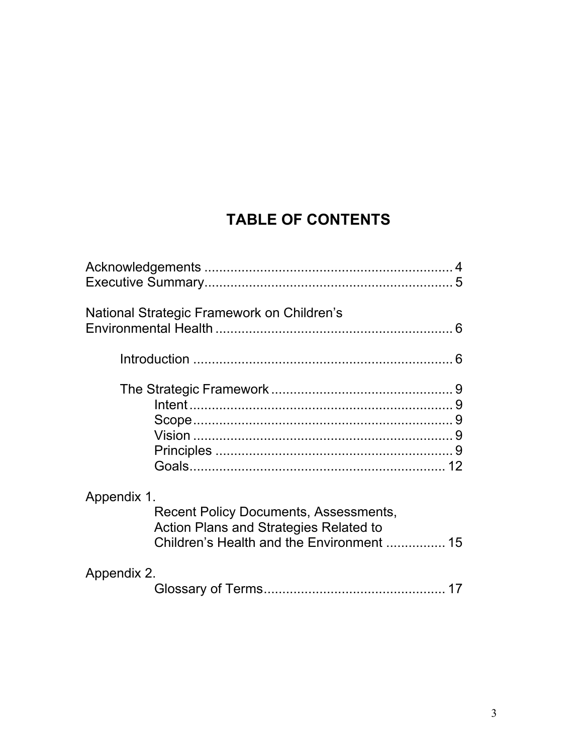# **TABLE OF CONTENTS**

| National Strategic Framework on Children's                                                                                                                |
|-----------------------------------------------------------------------------------------------------------------------------------------------------------|
|                                                                                                                                                           |
|                                                                                                                                                           |
| Appendix 1.<br><b>Recent Policy Documents, Assessments,</b><br><b>Action Plans and Strategies Related to</b><br>Children's Health and the Environment  15 |
| Appendix 2.                                                                                                                                               |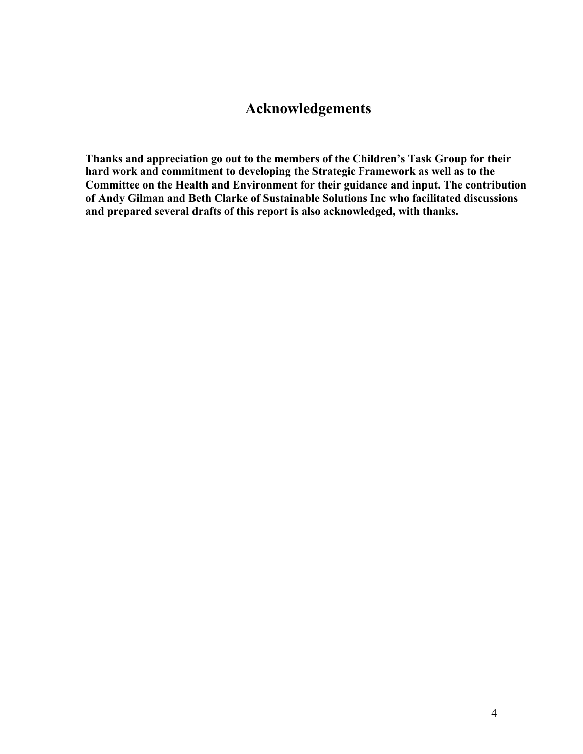# **Acknowledgements**

**Thanks and appreciation go out to the members of the Children's Task Group for their hard work and commitment to developing the Strategic** F**ramework as well as to the Committee on the Health and Environment for their guidance and input. The contribution of Andy Gilman and Beth Clarke of Sustainable Solutions Inc who facilitated discussions and prepared several drafts of this report is also acknowledged, with thanks.**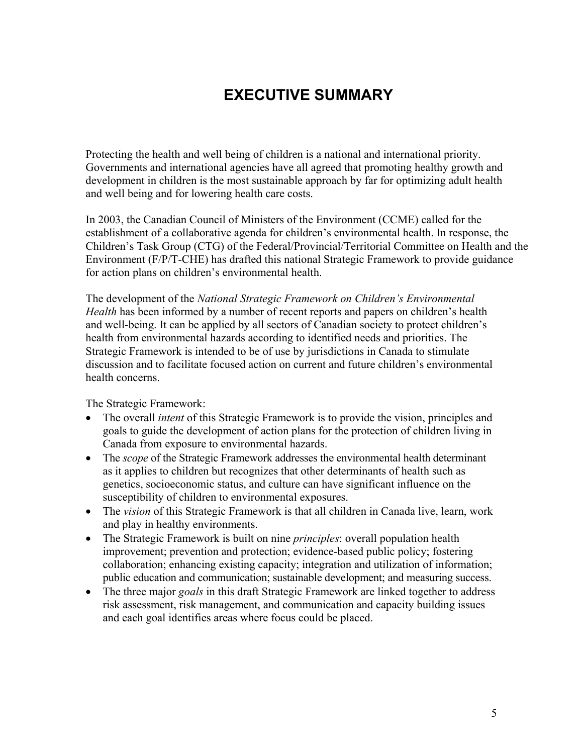# **EXECUTIVE SUMMARY**

Protecting the health and well being of children is a national and international priority. Governments and international agencies have all agreed that promoting healthy growth and development in children is the most sustainable approach by far for optimizing adult health and well being and for lowering health care costs.

In 2003, the Canadian Council of Ministers of the Environment (CCME) called for the establishment of a collaborative agenda for children's environmental health. In response, the Children's Task Group (CTG) of the Federal/Provincial/Territorial Committee on Health and the Environment (F/P/T-CHE) has drafted this national Strategic Framework to provide guidance for action plans on children's environmental health.

The development of the *National Strategic Framework on Children's Environmental Health* has been informed by a number of recent reports and papers on children's health and well-being. It can be applied by all sectors of Canadian society to protect children's health from environmental hazards according to identified needs and priorities. The Strategic Framework is intended to be of use by jurisdictions in Canada to stimulate discussion and to facilitate focused action on current and future children's environmental health concerns.

The Strategic Framework:

- The overall *intent* of this Strategic Framework is to provide the vision, principles and goals to guide the development of action plans for the protection of children living in Canada from exposure to environmental hazards.
- The *scope* of the Strategic Framework addresses the environmental health determinant as it applies to children but recognizes that other determinants of health such as genetics, socioeconomic status, and culture can have significant influence on the susceptibility of children to environmental exposures.
- The *vision* of this Strategic Framework is that all children in Canada live, learn, work and play in healthy environments.
- The Strategic Framework is built on nine *principles*: overall population health improvement; prevention and protection; evidence-based public policy; fostering collaboration; enhancing existing capacity; integration and utilization of information; public education and communication; sustainable development; and measuring success.
- The three major *goals* in this draft Strategic Framework are linked together to address risk assessment, risk management, and communication and capacity building issues and each goal identifies areas where focus could be placed.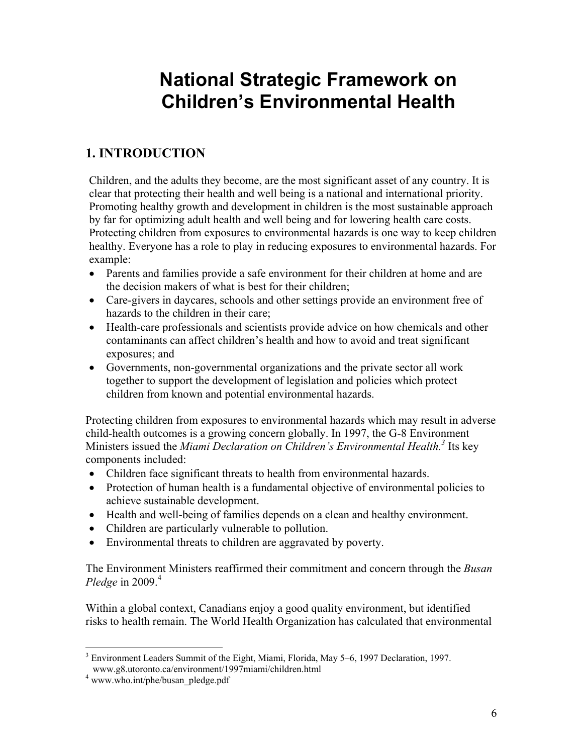# **National Strategic Framework on Children's Environmental Health**

# **1. INTRODUCTION**

Children, and the adults they become, are the most significant asset of any country. It is clear that protecting their health and well being is a national and international priority. Promoting healthy growth and development in children is the most sustainable approach by far for optimizing adult health and well being and for lowering health care costs. Protecting children from exposures to environmental hazards is one way to keep children healthy. Everyone has a role to play in reducing exposures to environmental hazards. For example:

- Parents and families provide a safe environment for their children at home and are the decision makers of what is best for their children;
- Care-givers in daycares, schools and other settings provide an environment free of hazards to the children in their care;
- Health-care professionals and scientists provide advice on how chemicals and other contaminants can affect children's health and how to avoid and treat significant exposures; and
- Governments, non-governmental organizations and the private sector all work together to support the development of legislation and policies which protect children from known and potential environmental hazards.

Protecting children from exposures to environmental hazards which may result in adverse child-health outcomes is a growing concern globally. In 1997, the G-8 Environment Ministers issued the *Miami Declaration on Children's Environmental Health*.<sup>3</sup> Its key components included:

- Children face significant threats to health from environmental hazards.
- Protection of human health is a fundamental objective of environmental policies to achieve sustainable development.
- Health and well-being of families depends on a clean and healthy environment.
- Children are particularly vulnerable to pollution.
- Environmental threats to children are aggravated by poverty.

The Environment Ministers reaffirmed their commitment and concern through the *Busan Pledge* in  $2009<sup>4</sup>$ 

Within a global context, Canadians enjoy a good quality environment, but identified risks to health remain. The World Health Organization has calculated that environmental

 $\overline{a}$ <sup>3</sup> Environment Leaders Summit of the Eight, Miami, Florida, May 5–6, 1997 Declaration, 1997. www.g8.utoronto.ca/environment/1997miami/children.html

<sup>&</sup>lt;sup>4</sup> www.who.int/phe/busan\_pledge.pdf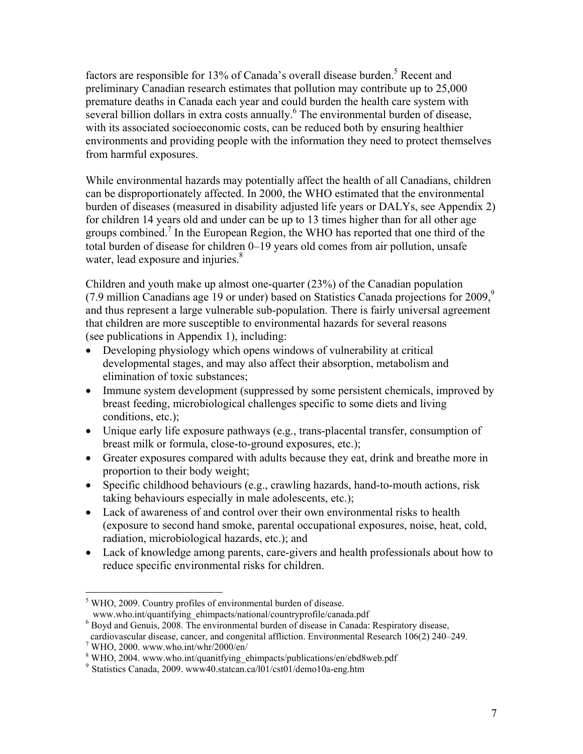factors are responsible for 13% of Canada's overall disease burden.<sup>5</sup> Recent and preliminary Canadian research estimates that pollution may contribute up to 25,000 premature deaths in Canada each year and could burden the health care system with several billion dollars in extra costs annually. <sup>6</sup> The environmental burden of disease, with its associated socioeconomic costs, can be reduced both by ensuring healthier environments and providing people with the information they need to protect themselves from harmful exposures.

While environmental hazards may potentially affect the health of all Canadians, children can be disproportionately affected. In 2000, the WHO estimated that the environmental burden of diseases (measured in disability adjusted life years or DALYs, see Appendix 2) for children 14 years old and under can be up to 13 times higher than for all other age groups combined.<sup>7</sup> In the European Region, the WHO has reported that one third of the total burden of disease for children 0–19 years old comes from air pollution, unsafe water, lead exposure and injuries.<sup>8</sup>

Children and youth make up almost one-quarter (23%) of the Canadian population (7.9 million Canadians age 19 or under) based on Statistics Canada projections for  $2009$ ,<sup>9</sup> and thus represent a large vulnerable sub-population. There is fairly universal agreement that children are more susceptible to environmental hazards for several reasons (see publications in Appendix 1), including:

- Developing physiology which opens windows of vulnerability at critical developmental stages, and may also affect their absorption, metabolism and elimination of toxic substances;
- Immune system development (suppressed by some persistent chemicals, improved by breast feeding, microbiological challenges specific to some diets and living conditions, etc.);
- Unique early life exposure pathways (e.g., trans-placental transfer, consumption of breast milk or formula, close-to-ground exposures, etc.);
- Greater exposures compared with adults because they eat, drink and breathe more in proportion to their body weight;
- Specific childhood behaviours (e.g., crawling hazards, hand-to-mouth actions, risk taking behaviours especially in male adolescents, etc.);
- Lack of awareness of and control over their own environmental risks to health (exposure to second hand smoke, parental occupational exposures, noise, heat, cold, radiation, microbiological hazards, etc.); and
- Lack of knowledge among parents, care-givers and health professionals about how to reduce specific environmental risks for children.

www.who.int/quantifying\_ehimpacts/national/countryprofile/canada.pdf

<sup>6</sup> Boyd and Genuis, 2008. The environmental burden of disease in Canada: Respiratory disease,

1

<sup>&</sup>lt;sup>5</sup> WHO, 2009. Country profiles of environmental burden of disease.

cardiovascular disease, cancer, and congenital affliction. Environmental Research 106(2) 240–249. 7

WHO, 2000. www.who.int/whr/2000/en/

<sup>&</sup>lt;sup>8</sup> WHO, 2004. www.who.int/quanitfying\_ehimpacts/publications/en/ebd8web.pdf

 $9$  Statistics Canada, 2009. www40.statcan.ca/l01/cst01/demo10a-eng.htm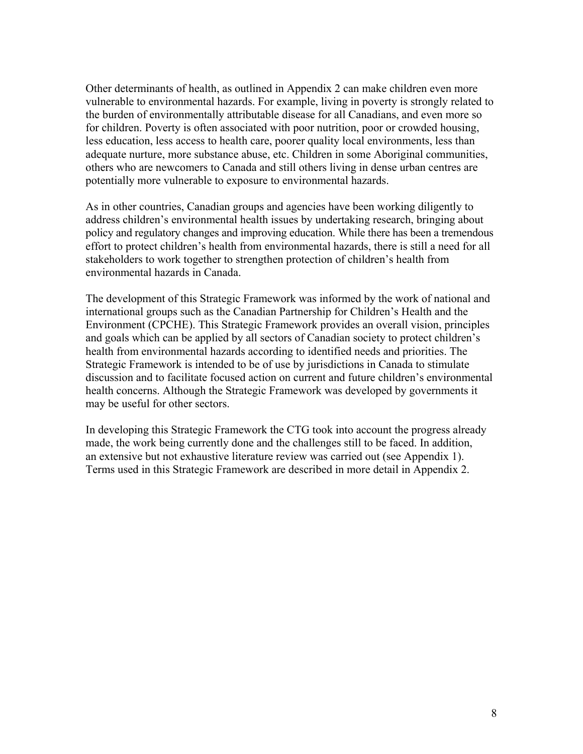Other determinants of health, as outlined in Appendix 2 can make children even more vulnerable to environmental hazards. For example, living in poverty is strongly related to the burden of environmentally attributable disease for all Canadians, and even more so for children. Poverty is often associated with poor nutrition, poor or crowded housing, less education, less access to health care, poorer quality local environments, less than adequate nurture, more substance abuse, etc. Children in some Aboriginal communities, others who are newcomers to Canada and still others living in dense urban centres are potentially more vulnerable to exposure to environmental hazards.

As in other countries, Canadian groups and agencies have been working diligently to address children's environmental health issues by undertaking research, bringing about policy and regulatory changes and improving education. While there has been a tremendous effort to protect children's health from environmental hazards, there is still a need for all stakeholders to work together to strengthen protection of children's health from environmental hazards in Canada.

The development of this Strategic Framework was informed by the work of national and international groups such as the Canadian Partnership for Children's Health and the Environment (CPCHE). This Strategic Framework provides an overall vision, principles and goals which can be applied by all sectors of Canadian society to protect children's health from environmental hazards according to identified needs and priorities. The Strategic Framework is intended to be of use by jurisdictions in Canada to stimulate discussion and to facilitate focused action on current and future children's environmental health concerns. Although the Strategic Framework was developed by governments it may be useful for other sectors.

In developing this Strategic Framework the CTG took into account the progress already made, the work being currently done and the challenges still to be faced. In addition, an extensive but not exhaustive literature review was carried out (see Appendix 1). Terms used in this Strategic Framework are described in more detail in Appendix 2.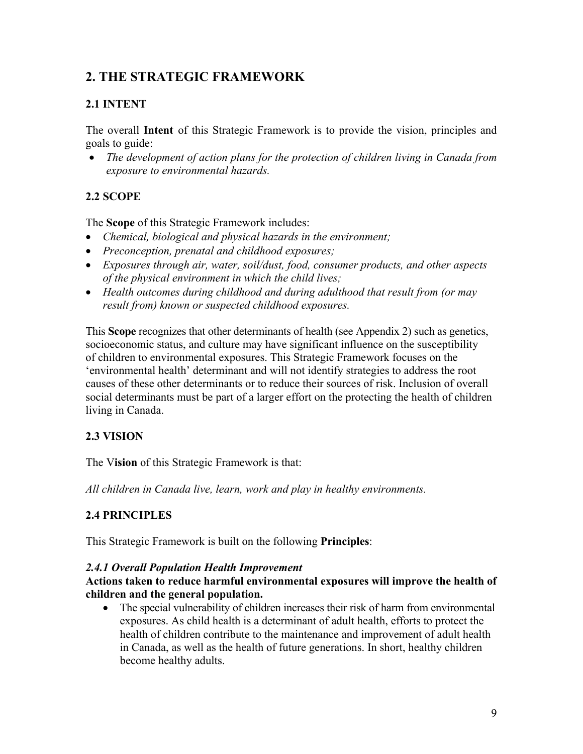### **2. THE STRATEGIC FRAMEWORK**

#### **2.1 INTENT**

The overall **Intent** of this Strategic Framework is to provide the vision, principles and goals to guide:

 *The development of action plans for the protection of children living in Canada from exposure to environmental hazards.*

#### **2.2 SCOPE**

The **Scope** of this Strategic Framework includes:

- *Chemical, biological and physical hazards in the environment;*
- *Preconception, prenatal and childhood exposures;*
- *Exposures through air, water, soil/dust, food, consumer products, and other aspects of the physical environment in which the child lives;*
- *Health outcomes during childhood and during adulthood that result from (or may result from) known or suspected childhood exposures.*

This **Scope** recognizes that other determinants of health (see Appendix 2) such as genetics, socioeconomic status, and culture may have significant influence on the susceptibility of children to environmental exposures. This Strategic Framework focuses on the 'environmental health' determinant and will not identify strategies to address the root causes of these other determinants or to reduce their sources of risk. Inclusion of overall social determinants must be part of a larger effort on the protecting the health of children living in Canada.

#### **2.3 VISION**

The V**ision** of this Strategic Framework is that:

*All children in Canada live, learn, work and play in healthy environments.*

#### **2.4 PRINCIPLES**

This Strategic Framework is built on the following **Principles**:

#### *2.4.1 Overall Population Health Improvement*

#### **Actions taken to reduce harmful environmental exposures will improve the health of children and the general population.**

 The special vulnerability of children increases their risk of harm from environmental exposures. As child health is a determinant of adult health, efforts to protect the health of children contribute to the maintenance and improvement of adult health in Canada, as well as the health of future generations. In short, healthy children become healthy adults.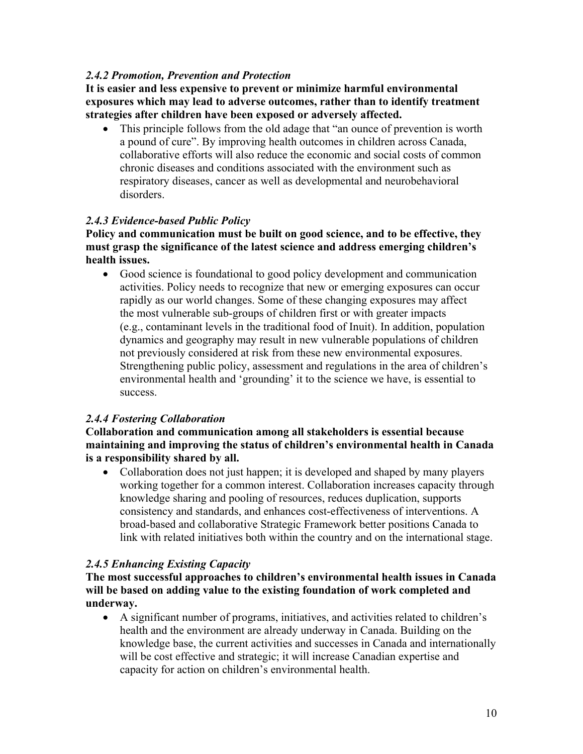#### *2.4.2 Promotion, Prevention and Protection*

**It is easier and less expensive to prevent or minimize harmful environmental exposures which may lead to adverse outcomes, rather than to identify treatment strategies after children have been exposed or adversely affected.**

 This principle follows from the old adage that "an ounce of prevention is worth a pound of cure". By improving health outcomes in children across Canada, collaborative efforts will also reduce the economic and social costs of common chronic diseases and conditions associated with the environment such as respiratory diseases, cancer as well as developmental and neurobehavioral disorders.

#### *2.4.3 Evidence-based Public Policy*

**Policy and communication must be built on good science, and to be effective, they must grasp the significance of the latest science and address emerging children's health issues.**

 Good science is foundational to good policy development and communication activities. Policy needs to recognize that new or emerging exposures can occur rapidly as our world changes. Some of these changing exposures may affect the most vulnerable sub-groups of children first or with greater impacts (e.g., contaminant levels in the traditional food of Inuit). In addition, population dynamics and geography may result in new vulnerable populations of children not previously considered at risk from these new environmental exposures. Strengthening public policy, assessment and regulations in the area of children's environmental health and 'grounding' it to the science we have, is essential to success.

#### *2.4.4 Fostering Collaboration*

**Collaboration and communication among all stakeholders is essential because maintaining and improving the status of children's environmental health in Canada is a responsibility shared by all.**

• Collaboration does not just happen; it is developed and shaped by many players working together for a common interest. Collaboration increases capacity through knowledge sharing and pooling of resources, reduces duplication, supports consistency and standards, and enhances cost-effectiveness of interventions. A broad-based and collaborative Strategic Framework better positions Canada to link with related initiatives both within the country and on the international stage.

#### *2.4.5 Enhancing Existing Capacity*

**The most successful approaches to children's environmental health issues in Canada will be based on adding value to the existing foundation of work completed and underway.** 

 A significant number of programs, initiatives, and activities related to children's health and the environment are already underway in Canada. Building on the knowledge base, the current activities and successes in Canada and internationally will be cost effective and strategic; it will increase Canadian expertise and capacity for action on children's environmental health.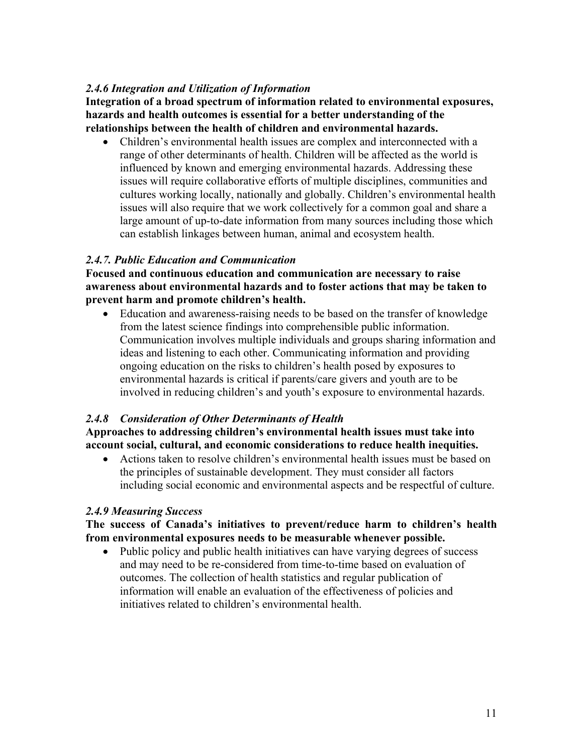#### *2.4.6 Integration and Utilization of Information*

**Integration of a broad spectrum of information related to environmental exposures, hazards and health outcomes is essential for a better understanding of the relationships between the health of children and environmental hazards.** 

 Children's environmental health issues are complex and interconnected with a range of other determinants of health. Children will be affected as the world is influenced by known and emerging environmental hazards. Addressing these issues will require collaborative efforts of multiple disciplines, communities and cultures working locally, nationally and globally. Children's environmental health issues will also require that we work collectively for a common goal and share a large amount of up-to-date information from many sources including those which can establish linkages between human, animal and ecosystem health.

#### *2.4.7. Public Education and Communication*

**Focused and continuous education and communication are necessary to raise awareness about environmental hazards and to foster actions that may be taken to prevent harm and promote children's health.** 

 Education and awareness-raising needs to be based on the transfer of knowledge from the latest science findings into comprehensible public information. Communication involves multiple individuals and groups sharing information and ideas and listening to each other. Communicating information and providing ongoing education on the risks to children's health posed by exposures to environmental hazards is critical if parents/care givers and youth are to be involved in reducing children's and youth's exposure to environmental hazards.

#### *2.4.8 Consideration of Other Determinants of Health*

**Approaches to addressing children's environmental health issues must take into account social, cultural, and economic considerations to reduce health inequities.** 

 Actions taken to resolve children's environmental health issues must be based on the principles of sustainable development. They must consider all factors including social economic and environmental aspects and be respectful of culture.

#### *2.4.9 Measuring Success*

**The success of Canada's initiatives to prevent/reduce harm to children's health from environmental exposures needs to be measurable whenever possible.** 

• Public policy and public health initiatives can have varying degrees of success and may need to be re-considered from time-to-time based on evaluation of outcomes. The collection of health statistics and regular publication of information will enable an evaluation of the effectiveness of policies and initiatives related to children's environmental health.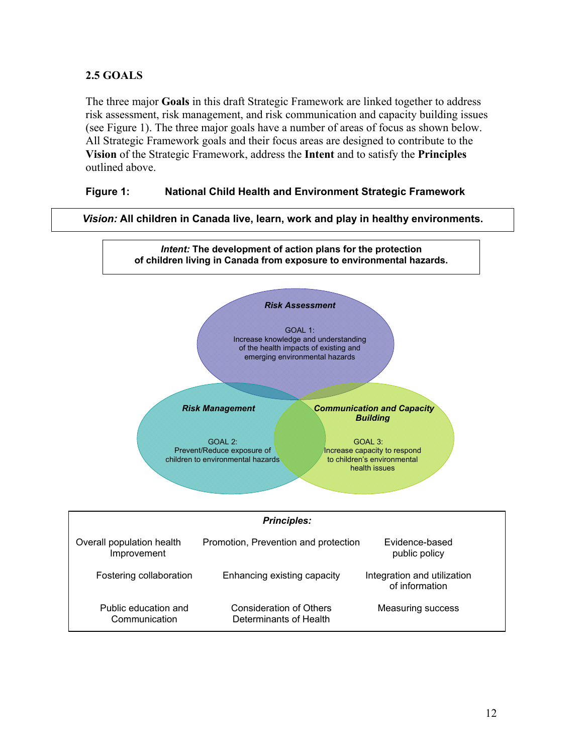#### **2.5 GOALS**

The three major **Goals** in this draft Strategic Framework are linked together to address risk assessment, risk management, and risk communication and capacity building issues (see Figure 1). The three major goals have a number of areas of focus as shown below. All Strategic Framework goals and their focus areas are designed to contribute to the **Vision** of the Strategic Framework, address the **Intent** and to satisfy the **Principles** outlined above.

#### **Figure 1: National Child Health and Environment Strategic Framework**

*Vision:* **All children in Canada live, learn, work and play in healthy environments.** 

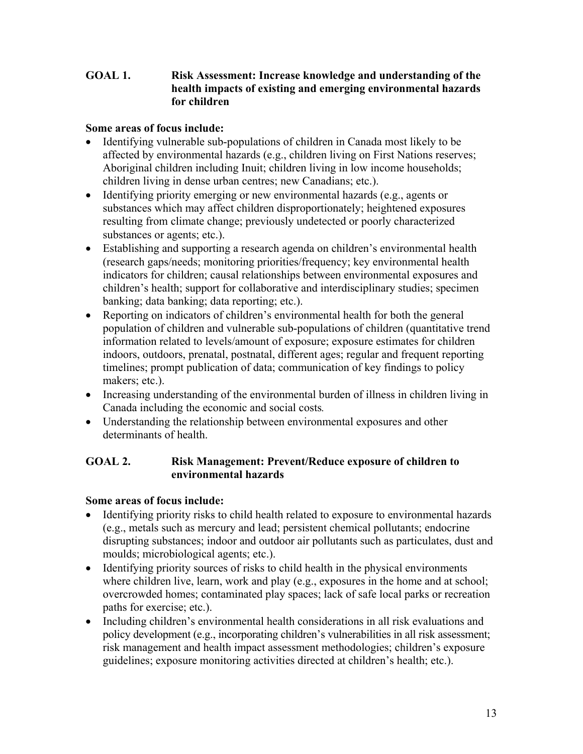#### **GOAL 1. Risk Assessment: Increase knowledge and understanding of the health impacts of existing and emerging environmental hazards for children**

#### **Some areas of focus include:**

- Identifying vulnerable sub-populations of children in Canada most likely to be affected by environmental hazards (e.g., children living on First Nations reserves; Aboriginal children including Inuit; children living in low income households; children living in dense urban centres; new Canadians; etc.).
- Identifying priority emerging or new environmental hazards (e.g., agents or substances which may affect children disproportionately; heightened exposures resulting from climate change; previously undetected or poorly characterized substances or agents; etc.).
- Establishing and supporting a research agenda on children's environmental health (research gaps/needs; monitoring priorities/frequency; key environmental health indicators for children; causal relationships between environmental exposures and children's health; support for collaborative and interdisciplinary studies; specimen banking; data banking; data reporting; etc.).
- Reporting on indicators of children's environmental health for both the general population of children and vulnerable sub-populations of children (quantitative trend information related to levels/amount of exposure; exposure estimates for children indoors, outdoors, prenatal, postnatal, different ages; regular and frequent reporting timelines; prompt publication of data; communication of key findings to policy makers; etc.).
- Increasing understanding of the environmental burden of illness in children living in Canada including the economic and social costs*.*
- Understanding the relationship between environmental exposures and other determinants of health.

#### **GOAL 2. Risk Management: Prevent/Reduce exposure of children to environmental hazards**

#### **Some areas of focus include:**

- Identifying priority risks to child health related to exposure to environmental hazards (e.g., metals such as mercury and lead; persistent chemical pollutants; endocrine disrupting substances; indoor and outdoor air pollutants such as particulates, dust and moulds; microbiological agents; etc.).
- Identifying priority sources of risks to child health in the physical environments where children live, learn, work and play (e.g., exposures in the home and at school; overcrowded homes; contaminated play spaces; lack of safe local parks or recreation paths for exercise; etc.).
- Including children's environmental health considerations in all risk evaluations and policy development (e.g., incorporating children's vulnerabilities in all risk assessment; risk management and health impact assessment methodologies; children's exposure guidelines; exposure monitoring activities directed at children's health; etc.).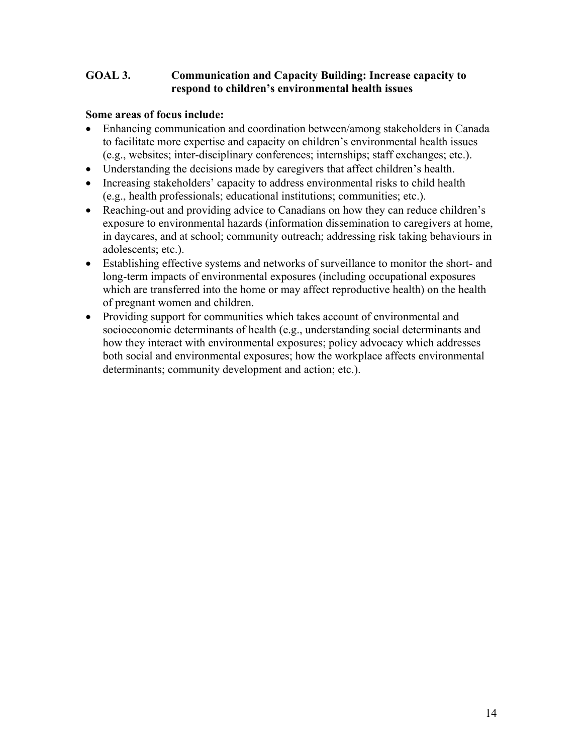#### **GOAL 3. Communication and Capacity Building: Increase capacity to respond to children's environmental health issues**

#### **Some areas of focus include:**

- Enhancing communication and coordination between/among stakeholders in Canada to facilitate more expertise and capacity on children's environmental health issues (e.g., websites; inter-disciplinary conferences; internships; staff exchanges; etc.).
- Understanding the decisions made by caregivers that affect children's health.
- Increasing stakeholders' capacity to address environmental risks to child health (e.g., health professionals; educational institutions; communities; etc.).
- Reaching-out and providing advice to Canadians on how they can reduce children's exposure to environmental hazards (information dissemination to caregivers at home, in daycares, and at school; community outreach; addressing risk taking behaviours in adolescents; etc.).
- Establishing effective systems and networks of surveillance to monitor the short- and long-term impacts of environmental exposures (including occupational exposures which are transferred into the home or may affect reproductive health) on the health of pregnant women and children.
- Providing support for communities which takes account of environmental and socioeconomic determinants of health (e.g., understanding social determinants and how they interact with environmental exposures; policy advocacy which addresses both social and environmental exposures; how the workplace affects environmental determinants; community development and action; etc.).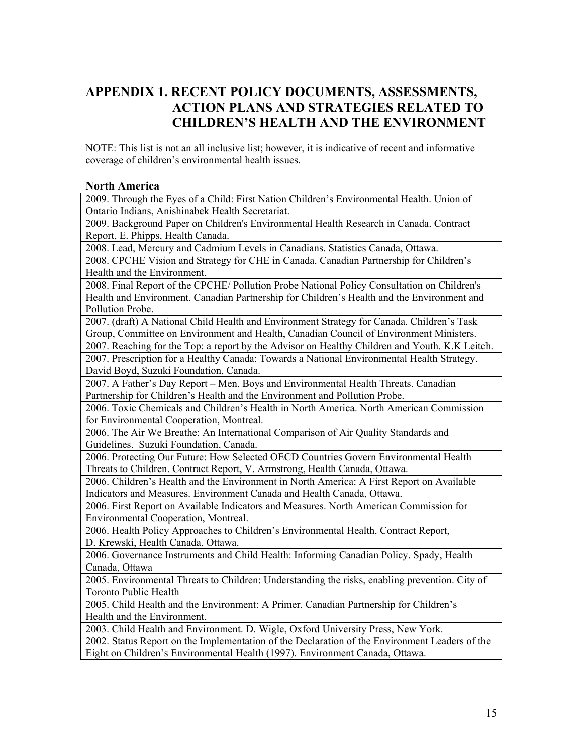### **APPENDIX 1. RECENT POLICY DOCUMENTS, ASSESSMENTS, ACTION PLANS AND STRATEGIES RELATED TO CHILDREN'S HEALTH AND THE ENVIRONMENT**

NOTE: This list is not an all inclusive list; however, it is indicative of recent and informative coverage of children's environmental health issues.

#### **North America**

2009. Through the Eyes of a Child: First Nation Children's Environmental Health. Union of Ontario Indians, Anishinabek Health Secretariat.

2009. Background Paper on Children's Environmental Health Research in Canada. Contract Report, E. Phipps, Health Canada.

2008. Lead, Mercury and Cadmium Levels in Canadians. Statistics Canada, Ottawa.

2008. CPCHE Vision and Strategy for CHE in Canada. Canadian Partnership for Children's Health and the Environment.

2008. Final Report of the CPCHE/ Pollution Probe National Policy Consultation on Children's Health and Environment. Canadian Partnership for Children's Health and the Environment and Pollution Probe.

2007. (draft) A National Child Health and Environment Strategy for Canada. Children's Task Group, Committee on Environment and Health, Canadian Council of Environment Ministers.

2007. Reaching for the Top: a report by the Advisor on Healthy Children and Youth. K.K Leitch. 2007. Prescription for a Healthy Canada: Towards a National Environmental Health Strategy.

David Boyd, Suzuki Foundation, Canada.

2007. A Father's Day Report – Men, Boys and Environmental Health Threats. Canadian Partnership for Children's Health and the Environment and Pollution Probe.

2006. Toxic Chemicals and Children's Health in North America. North American Commission for Environmental Cooperation, Montreal.

2006. The Air We Breathe: An International Comparison of Air Quality Standards and Guidelines. Suzuki Foundation, Canada.

2006. Protecting Our Future: How Selected OECD Countries Govern Environmental Health Threats to Children. Contract Report, V. Armstrong, Health Canada, Ottawa.

2006. Children's Health and the Environment in North America: A First Report on Available Indicators and Measures. Environment Canada and Health Canada, Ottawa.

2006. First Report on Available Indicators and Measures. North American Commission for Environmental Cooperation, Montreal.

2006. Health Policy Approaches to Children's Environmental Health. Contract Report, D. Krewski, Health Canada, Ottawa.

2006. Governance Instruments and Child Health: Informing Canadian Policy. Spady, Health Canada, Ottawa

2005. Environmental Threats to Children: Understanding the risks, enabling prevention. City of Toronto Public Health

2005. Child Health and the Environment: A Primer. Canadian Partnership for Children's Health and the Environment.

2003. Child Health and Environment. D. Wigle, Oxford University Press, New York.

2002. Status Report on the Implementation of the Declaration of the Environment Leaders of the Eight on Children's Environmental Health (1997). Environment Canada, Ottawa.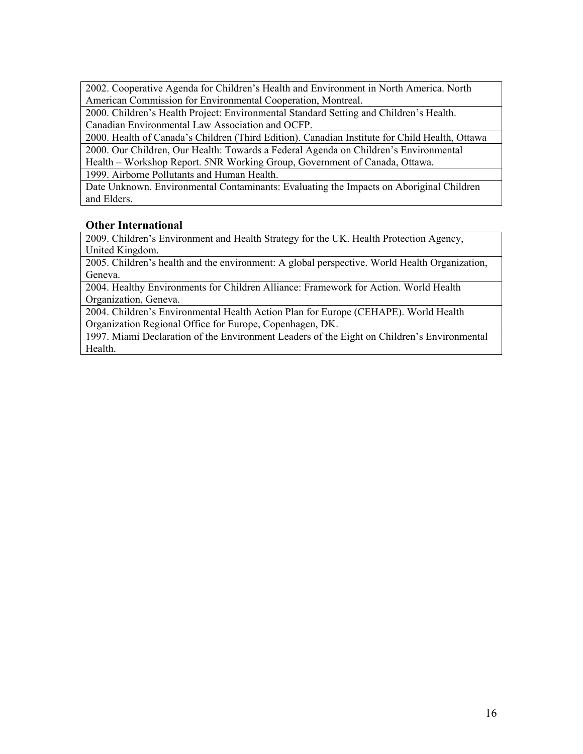2002. Cooperative Agenda for Children's Health and Environment in North America. North American Commission for Environmental Cooperation, Montreal.

2000. Children's Health Project: Environmental Standard Setting and Children's Health. Canadian Environmental Law Association and OCFP.

2000. Health of Canada's Children (Third Edition). Canadian Institute for Child Health, Ottawa 2000. Our Children, Our Health: Towards a Federal Agenda on Children's Environmental

Health – Workshop Report. 5NR Working Group, Government of Canada, Ottawa.

1999. Airborne Pollutants and Human Health.

Date Unknown. Environmental Contaminants: Evaluating the Impacts on Aboriginal Children and Elders.

#### **Other International**

2009. Children's Environment and Health Strategy for the UK. Health Protection Agency, United Kingdom.

2005. Children's health and the environment: A global perspective. World Health Organization, Geneva.

2004. Healthy Environments for Children Alliance: Framework for Action. World Health Organization, Geneva.

2004. Children's Environmental Health Action Plan for Europe (CEHAPE). World Health Organization Regional Office for Europe, Copenhagen, DK.

1997. Miami Declaration of the Environment Leaders of the Eight on Children's Environmental Health.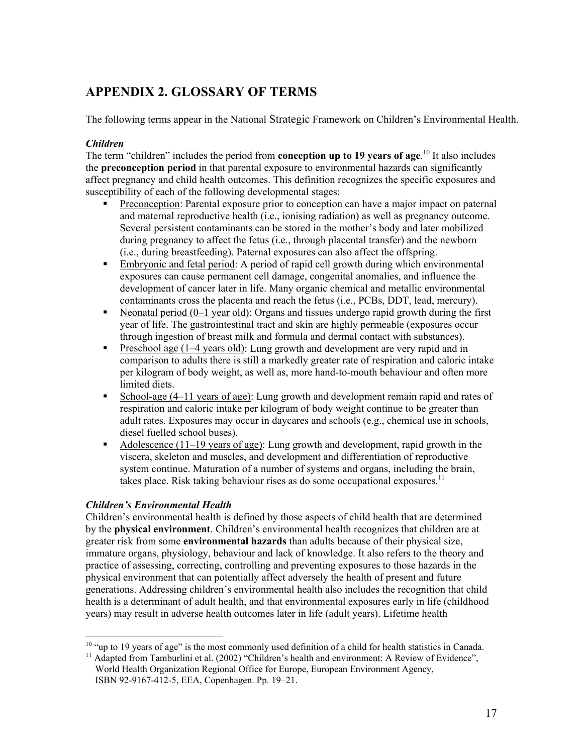### **APPENDIX 2. GLOSSARY OF TERMS**

The following terms appear in the National Strategic Framework on Children's Environmental Health.

#### *Children*

The term "children" includes the period from **conception up to 19 years of age**.<sup>10</sup> It also includes the **preconception period** in that parental exposure to environmental hazards can significantly affect pregnancy and child health outcomes. This definition recognizes the specific exposures and susceptibility of each of the following developmental stages:

- Preconception: Parental exposure prior to conception can have a major impact on paternal and maternal reproductive health (i.e., ionising radiation) as well as pregnancy outcome. Several persistent contaminants can be stored in the mother's body and later mobilized during pregnancy to affect the fetus (i.e., through placental transfer) and the newborn (i.e., during breastfeeding). Paternal exposures can also affect the offspring.
- Embryonic and fetal period: A period of rapid cell growth during which environmental exposures can cause permanent cell damage, congenital anomalies, and influence the development of cancer later in life. Many organic chemical and metallic environmental contaminants cross the placenta and reach the fetus (i.e., PCBs, DDT, lead, mercury).
- Neonatal period  $(0-1 \text{ year old})$ : Organs and tissues undergo rapid growth during the first year of life. The gastrointestinal tract and skin are highly permeable (exposures occur through ingestion of breast milk and formula and dermal contact with substances).
- **Preschool age (1–4 years old):** Lung growth and development are very rapid and in comparison to adults there is still a markedly greater rate of respiration and caloric intake per kilogram of body weight, as well as, more hand-to-mouth behaviour and often more limited diets.
- School-age  $(4-11 \text{ years of age})$ : Lung growth and development remain rapid and rates of respiration and caloric intake per kilogram of body weight continue to be greater than adult rates. Exposures may occur in daycares and schools (e.g., chemical use in schools, diesel fuelled school buses).
- Adolescence  $(11-19$  years of age): Lung growth and development, rapid growth in the viscera, skeleton and muscles, and development and differentiation of reproductive system continue. Maturation of a number of systems and organs, including the brain, takes place. Risk taking behaviour rises as do some occupational exposures.<sup>11</sup>

#### *Children's Environmental Health*

 $\overline{a}$ 

Children's environmental health is defined by those aspects of child health that are determined by the **physical environment**. Children's environmental health recognizes that children are at greater risk from some **environmental hazards** than adults because of their physical size, immature organs, physiology, behaviour and lack of knowledge. It also refers to the theory and practice of assessing, correcting, controlling and preventing exposures to those hazards in the physical environment that can potentially affect adversely the health of present and future generations. Addressing children's environmental health also includes the recognition that child health is a determinant of adult health, and that environmental exposures early in life (childhood years) may result in adverse health outcomes later in life (adult years). Lifetime health

 $10$  "up to 19 years of age" is the most commonly used definition of a child for health statistics in Canada.

<sup>&</sup>lt;sup>11</sup> Adapted from Tamburlini et al. (2002) "Children's health and environment: A Review of Evidence", World Health Organization Regional Office for Europe, European Environment Agency, ISBN 92-9167-412-5, EEA, Copenhagen. Pp. 19–21.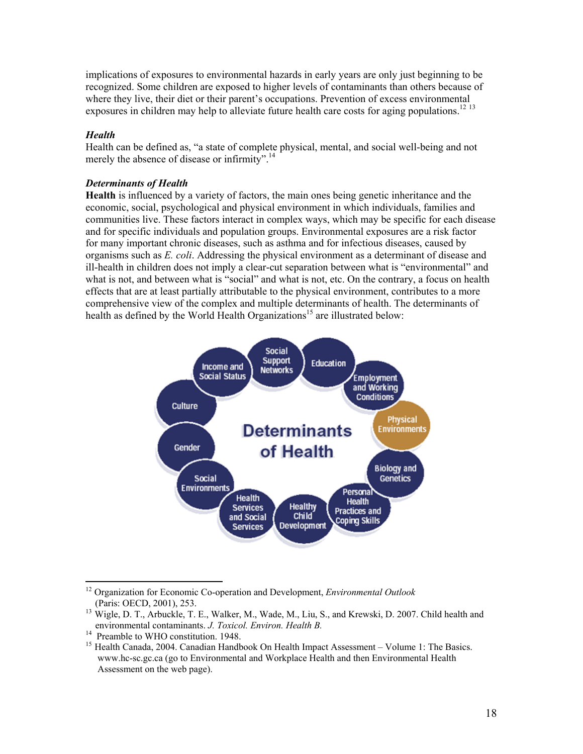implications of exposures to environmental hazards in early years are only just beginning to be recognized. Some children are exposed to higher levels of contaminants than others because of where they live, their diet or their parent's occupations. Prevention of excess environmental exposures in children may help to alleviate future health care costs for aging populations.<sup>12 13</sup>

#### *Health*

Health can be defined as, "a state of complete physical, mental, and social well-being and not merely the absence of disease or infirmity".<sup>14</sup>

#### *Determinants of Health*

**Health** is influenced by a variety of factors, the main ones being genetic inheritance and the economic, social, psychological and physical environment in which individuals, families and communities live. These factors interact in complex ways, which may be specific for each disease and for specific individuals and population groups. Environmental exposures are a risk factor for many important chronic diseases, such as asthma and for infectious diseases, caused by organisms such as *E. coli*. Addressing the physical environment as a determinant of disease and ill-health in children does not imply a clear-cut separation between what is "environmental" and what is not, and between what is "social" and what is not, etc. On the contrary, a focus on health effects that are at least partially attributable to the physical environment, contributes to a more comprehensive view of the complex and multiple determinants of health. The determinants of health as defined by the World Health Organizations<sup>15</sup> are illustrated below:



<sup>12</sup> Organization for Economic Co-operation and Development, *Environmental Outlook*  (Paris: OECD, 2001), 253.

 $\overline{a}$ 

<sup>&</sup>lt;sup>13</sup> Wigle, D. T., Arbuckle, T. E., Walker, M., Wade, M., Liu, S., and Krewski, D. 2007. Child health and environmental contaminants. *J. Toxicol. Environ. Health B.* 14 Preamble to WHO constitution. 1948.

<sup>&</sup>lt;sup>15</sup> Health Canada, 2004. Canadian Handbook On Health Impact Assessment – Volume 1: The Basics. www.hc-sc.gc.ca (go to Environmental and Workplace Health and then Environmental Health Assessment on the web page).